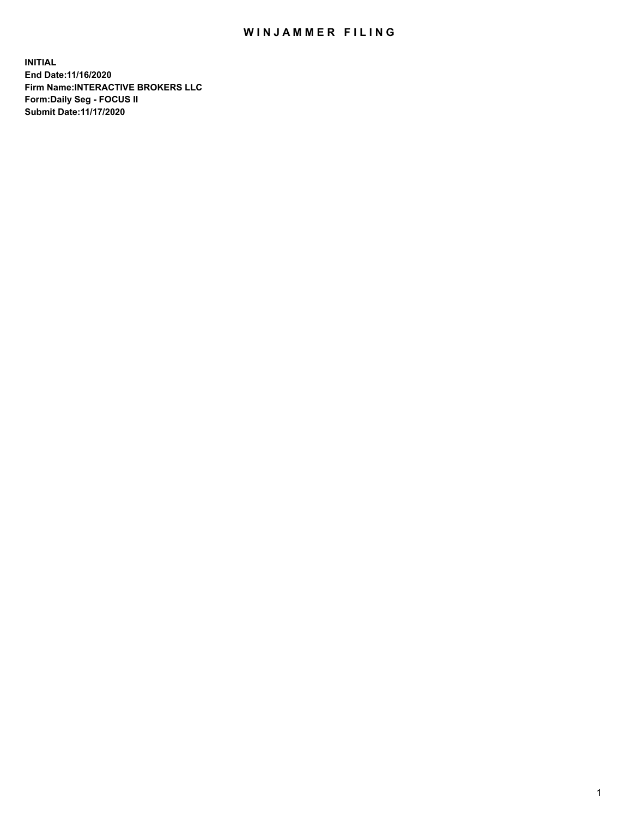## WIN JAMMER FILING

**INITIAL End Date:11/16/2020 Firm Name:INTERACTIVE BROKERS LLC Form:Daily Seg - FOCUS II Submit Date:11/17/2020**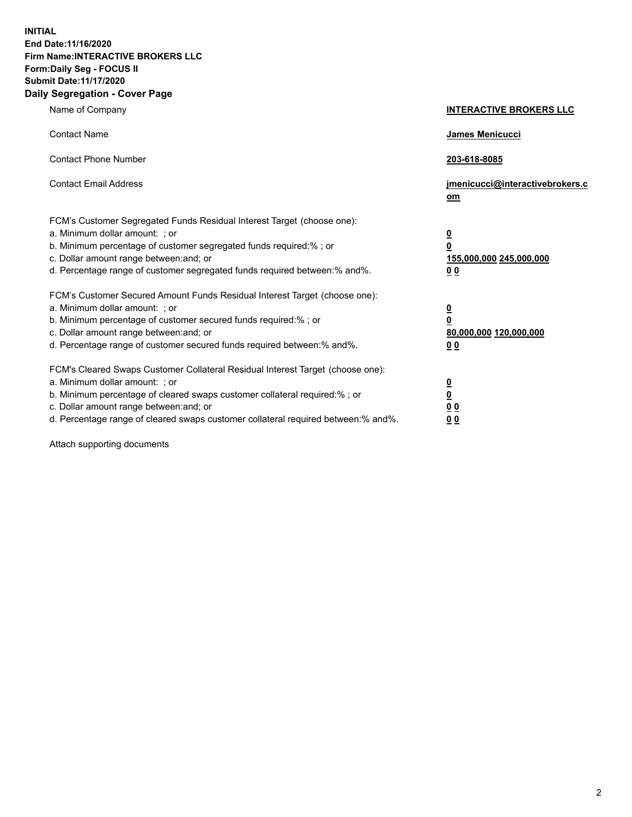**INITIAL End Date:11/16/2020 Firm Name:INTERACTIVE BROKERS LLC Form:Daily Seg - FOCUS II Submit Date:11/17/2020 Daily Segregation - Cover Page**

| Name of Company                                                                                                                                                                                                                                                                                                                | <b>INTERACTIVE BROKERS LLC</b>                                                                           |
|--------------------------------------------------------------------------------------------------------------------------------------------------------------------------------------------------------------------------------------------------------------------------------------------------------------------------------|----------------------------------------------------------------------------------------------------------|
| <b>Contact Name</b>                                                                                                                                                                                                                                                                                                            | James Menicucci                                                                                          |
| <b>Contact Phone Number</b>                                                                                                                                                                                                                                                                                                    | 203-618-8085                                                                                             |
| <b>Contact Email Address</b>                                                                                                                                                                                                                                                                                                   | jmenicucci@interactivebrokers.c<br>om                                                                    |
| FCM's Customer Segregated Funds Residual Interest Target (choose one):<br>a. Minimum dollar amount: ; or<br>b. Minimum percentage of customer segregated funds required:% ; or<br>c. Dollar amount range between: and; or<br>d. Percentage range of customer segregated funds required between:% and%.                         | $\overline{\mathbf{0}}$<br>$\overline{\mathbf{0}}$<br>155,000,000 245,000,000<br>0 <sub>0</sub>          |
| FCM's Customer Secured Amount Funds Residual Interest Target (choose one):<br>a. Minimum dollar amount: ; or<br>b. Minimum percentage of customer secured funds required:%; or<br>c. Dollar amount range between: and; or<br>d. Percentage range of customer secured funds required between:% and%.                            | $\overline{\mathbf{0}}$<br>$\overline{\mathbf{0}}$<br>80,000,000 120,000,000<br>00                       |
| FCM's Cleared Swaps Customer Collateral Residual Interest Target (choose one):<br>a. Minimum dollar amount: ; or<br>b. Minimum percentage of cleared swaps customer collateral required:% ; or<br>c. Dollar amount range between: and; or<br>d. Percentage range of cleared swaps customer collateral required between:% and%. | $\overline{\mathbf{0}}$<br>$\underline{\mathbf{0}}$<br>$\underline{0}$ $\underline{0}$<br>0 <sub>0</sub> |

Attach supporting documents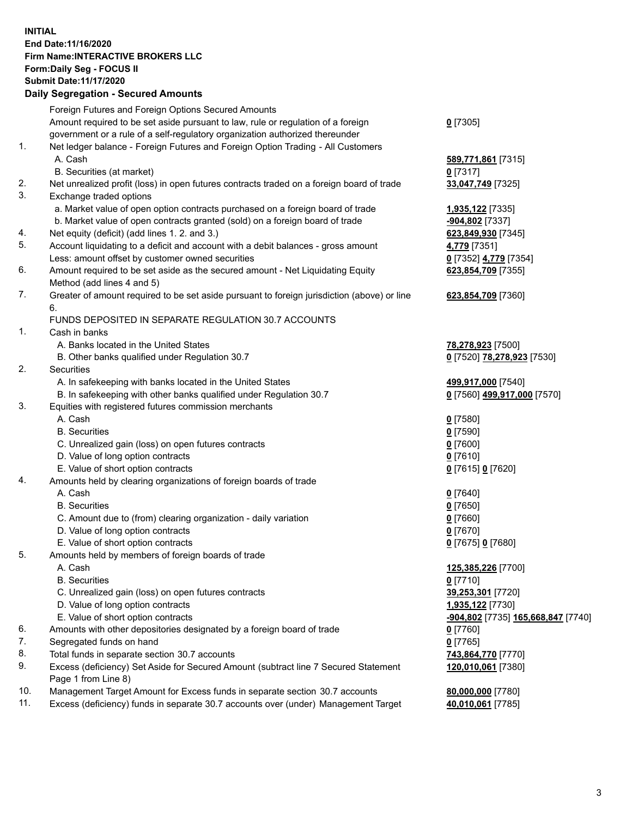**INITIAL End Date:11/16/2020 Firm Name:INTERACTIVE BROKERS LLC Form:Daily Seg - FOCUS II Submit Date:11/17/2020 Daily Segregation - Secured Amounts**

|     | Foreign Futures and Foreign Options Secured Amounts                                               |                                                        |
|-----|---------------------------------------------------------------------------------------------------|--------------------------------------------------------|
|     | Amount required to be set aside pursuant to law, rule or regulation of a foreign                  | $0$ [7305]                                             |
|     | government or a rule of a self-regulatory organization authorized thereunder                      |                                                        |
| 1.  | Net ledger balance - Foreign Futures and Foreign Option Trading - All Customers                   |                                                        |
|     | A. Cash                                                                                           | 589,771,861 [7315]                                     |
|     | B. Securities (at market)                                                                         | $0$ [7317]                                             |
| 2.  | Net unrealized profit (loss) in open futures contracts traded on a foreign board of trade         | 33,047,749 [7325]                                      |
| 3.  | Exchange traded options                                                                           |                                                        |
|     | a. Market value of open option contracts purchased on a foreign board of trade                    | 1,935,122 [7335]                                       |
|     | b. Market value of open contracts granted (sold) on a foreign board of trade                      | -904,802 [7337]                                        |
| 4.  | Net equity (deficit) (add lines 1. 2. and 3.)                                                     | 623,849,930 [7345]                                     |
| 5.  | Account liquidating to a deficit and account with a debit balances - gross amount                 | 4,779 [7351]                                           |
|     | Less: amount offset by customer owned securities                                                  | 0 [7352] 4,779 [7354]                                  |
| 6.  | Amount required to be set aside as the secured amount - Net Liquidating Equity                    | 623,854,709 [7355]                                     |
|     | Method (add lines 4 and 5)                                                                        |                                                        |
| 7.  | Greater of amount required to be set aside pursuant to foreign jurisdiction (above) or line<br>6. | 623,854,709 [7360]                                     |
|     | FUNDS DEPOSITED IN SEPARATE REGULATION 30.7 ACCOUNTS                                              |                                                        |
| 1.  | Cash in banks                                                                                     |                                                        |
|     | A. Banks located in the United States                                                             | 78,278,923 [7500]                                      |
|     | B. Other banks qualified under Regulation 30.7                                                    | 0 [7520] 78,278,923 [7530]                             |
| 2.  | Securities                                                                                        |                                                        |
|     | A. In safekeeping with banks located in the United States                                         | 499,917,000 [7540]                                     |
|     | B. In safekeeping with other banks qualified under Regulation 30.7                                | 0 [7560] 499,917,000 [7570]                            |
| 3.  | Equities with registered futures commission merchants                                             |                                                        |
|     | A. Cash                                                                                           | $0$ [7580]                                             |
|     | <b>B.</b> Securities                                                                              | $0$ [7590]                                             |
|     | C. Unrealized gain (loss) on open futures contracts                                               | $0$ [7600]                                             |
|     | D. Value of long option contracts                                                                 | $0$ [7610]                                             |
|     | E. Value of short option contracts                                                                | 0 [7615] 0 [7620]                                      |
| 4.  | Amounts held by clearing organizations of foreign boards of trade                                 |                                                        |
|     | A. Cash                                                                                           | $0$ [7640]                                             |
|     | <b>B.</b> Securities                                                                              | $0$ [7650]                                             |
|     | C. Amount due to (from) clearing organization - daily variation                                   | $0$ [7660]                                             |
|     | D. Value of long option contracts                                                                 | $0$ [7670]                                             |
|     | E. Value of short option contracts                                                                | 0 [7675] 0 [7680]                                      |
| 5.  | Amounts held by members of foreign boards of trade                                                |                                                        |
|     | A. Cash                                                                                           | 125,385,226 [7700]                                     |
|     | <b>B.</b> Securities                                                                              | $0$ [7710]                                             |
|     | C. Unrealized gain (loss) on open futures contracts                                               | 39,253,301 [7720]                                      |
|     | D. Value of long option contracts                                                                 | 1,935,122 [7730]                                       |
|     | E. Value of short option contracts                                                                | <mark>-904,802</mark> [7735] <u>165,668,847</u> [7740] |
| 6.  | Amounts with other depositories designated by a foreign board of trade                            | $0$ [7760]                                             |
| 7.  | Segregated funds on hand                                                                          | $0$ [7765]                                             |
| 8.  | Total funds in separate section 30.7 accounts                                                     | 743,864,770 [7770]                                     |
| 9.  | Excess (deficiency) Set Aside for Secured Amount (subtract line 7 Secured Statement               | 120,010,061 [7380]                                     |
|     | Page 1 from Line 8)                                                                               |                                                        |
| 10. | Management Target Amount for Excess funds in separate section 30.7 accounts                       | 80,000,000 [7780]                                      |
| 11. | Excess (deficiency) funds in separate 30.7 accounts over (under) Management Target                | 40,010,061 [7785]                                      |
|     |                                                                                                   |                                                        |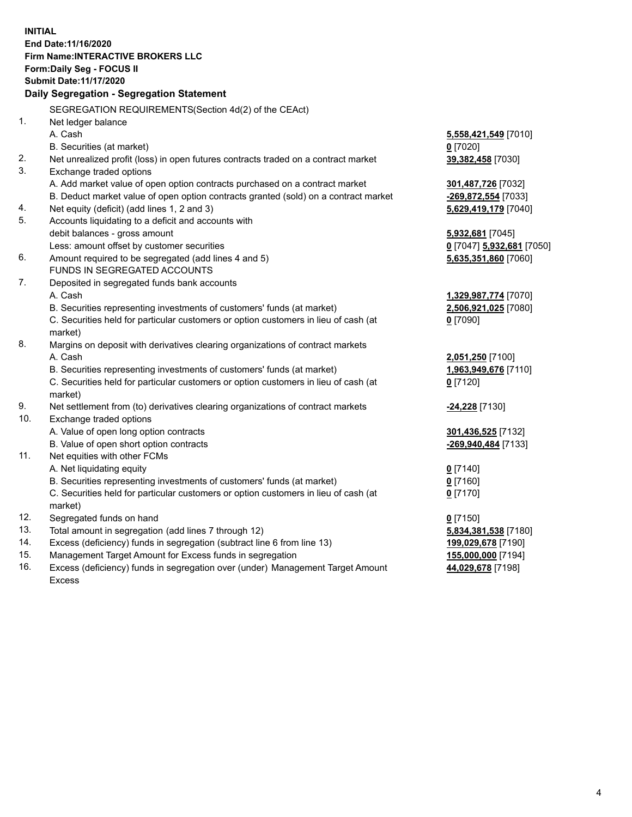**INITIAL End Date:11/16/2020 Firm Name:INTERACTIVE BROKERS LLC Form:Daily Seg - FOCUS II Submit Date:11/17/2020 Daily Segregation - Segregation Statement** SEGREGATION REQUIREMENTS(Section 4d(2) of the CEAct) 1. Net ledger balance A. Cash **5,558,421,549** [7010] B. Securities (at market) **0** [7020] 2. Net unrealized profit (loss) in open futures contracts traded on a contract market **39,382,458** [7030] 3. Exchange traded options A. Add market value of open option contracts purchased on a contract market **301,487,726** [7032] B. Deduct market value of open option contracts granted (sold) on a contract market **-269,872,554** [7033] 4. Net equity (deficit) (add lines 1, 2 and 3) **5,629,419,179** [7040] 5. Accounts liquidating to a deficit and accounts with debit balances - gross amount **5,932,681** [7045] Less: amount offset by customer securities **0** [7047] **5,932,681** [7050] 6. Amount required to be segregated (add lines 4 and 5) **5,635,351,860** [7060] FUNDS IN SEGREGATED ACCOUNTS 7. Deposited in segregated funds bank accounts A. Cash **1,329,987,774** [7070] B. Securities representing investments of customers' funds (at market) **2,506,921,025** [7080] C. Securities held for particular customers or option customers in lieu of cash (at market) **0** [7090] 8. Margins on deposit with derivatives clearing organizations of contract markets A. Cash **2,051,250** [7100] B. Securities representing investments of customers' funds (at market) **1,963,949,676** [7110] C. Securities held for particular customers or option customers in lieu of cash (at market) **0** [7120] 9. Net settlement from (to) derivatives clearing organizations of contract markets **-24,228** [7130] 10. Exchange traded options A. Value of open long option contracts **301,436,525** [7132] B. Value of open short option contracts **-269,940,484** [7133] 11. Net equities with other FCMs A. Net liquidating equity **0** [7140] B. Securities representing investments of customers' funds (at market) **0** [7160] C. Securities held for particular customers or option customers in lieu of cash (at market) **0** [7170] 12. Segregated funds on hand **0** [7150] 13. Total amount in segregation (add lines 7 through 12) **5,834,381,538** [7180] 14. Excess (deficiency) funds in segregation (subtract line 6 from line 13) **199,029,678** [7190] 15. Management Target Amount for Excess funds in segregation **155,000,000** [7194] 16. Excess (deficiency) funds in segregation over (under) Management Target Amount Excess **44,029,678** [7198]